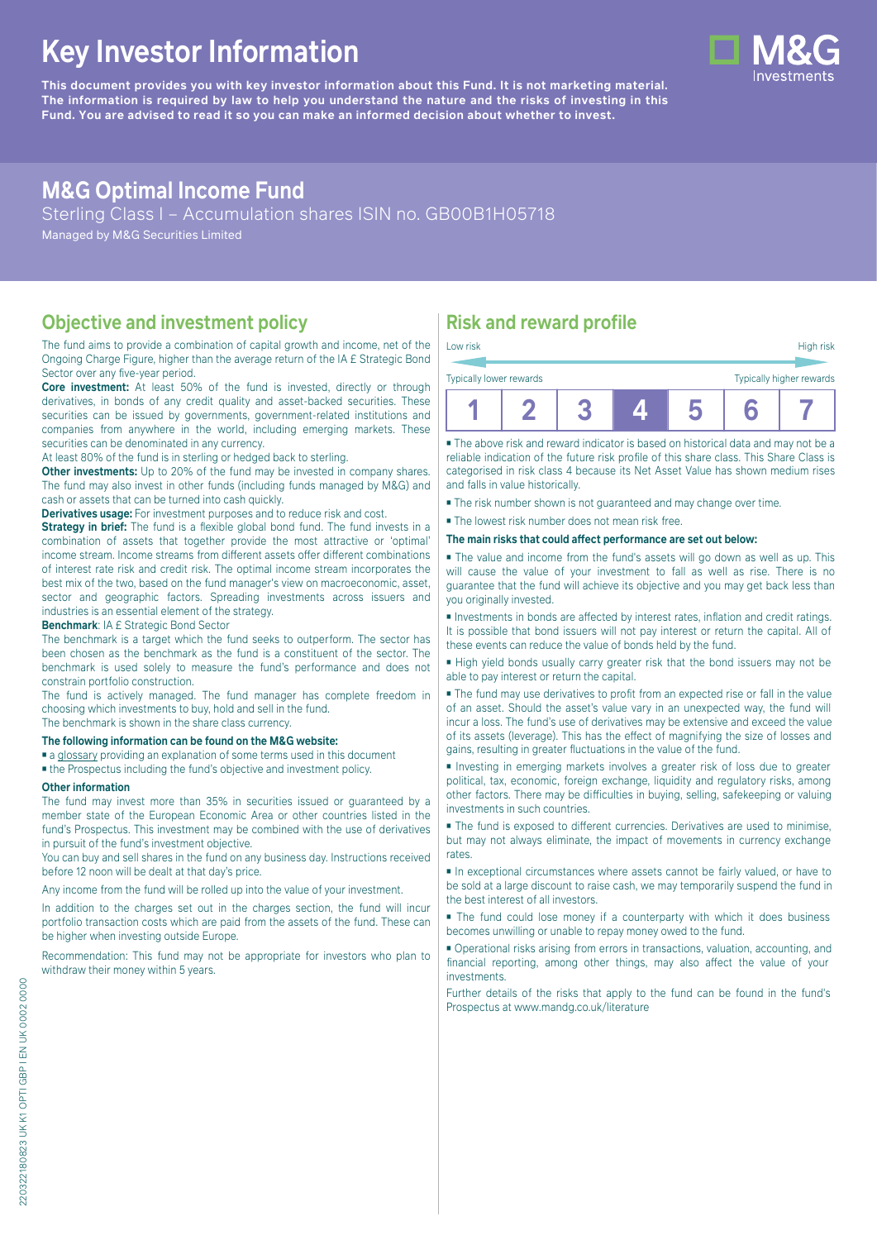# **Key Investor Information**

**This document provides you with key investor information about this Fund. It is not marketing material.** The information is required by law to help you understand the nature and the risks of investing in this **Fund. You are advised to read it so you can make an informed decision about whether to invest.**

# **M&G Optimal Income Fund**

Sterling Class I – Accumulation shares ISIN no. GB00B1H05718

Managed by M&G Securities Limited

## **Objective and investment policy**

The fund aims to provide a combination of capital growth and income, net of the Ongoing Charge Figure, higher than the average return of the IA £ Strategic Bond Sector over any five-year period.

**Core investment:** At least 50% of the fund is invested, directly or through derivatives, in bonds of any credit quality and asset-backed securities. These securities can be issued by governments, government-related institutions and companies from anywhere in the world, including emerging markets. These securities can be denominated in any currency.

At least 80% of the fund is in sterling or hedged back to sterling.

**Other investments:** Up to 20% of the fund may be invested in company shares. The fund may also invest in other funds (including funds managed by M&G) and cash or assets that can be turned into cash quickly.

**Derivatives usage:** For investment purposes and to reduce risk and cost.

**Strategy in brief:** The fund is a flexible global bond fund. The fund invests in a combination of assets that together provide the most attractive or 'optimal' income stream. Income streams from different assets offer different combinations of interest rate risk and credit risk. The optimal income stream incorporates the best mix of the two, based on the fund manager's view on macroeconomic, asset, sector and geographic factors. Spreading investments across issuers and industries is an essential element of the strategy.

**Benchmark**: IA £ Strategic Bond Sector

The benchmark is a target which the fund seeks to outperform. The sector has been chosen as the benchmark as the fund is a constituent of the sector. The benchmark is used solely to measure the fund's performance and does not constrain portfolio construction.

The fund is actively managed. The fund manager has complete freedom in choosing which investments to buy, hold and sell in the fund.

The benchmark is shown in the share class currency.

#### **The following information can be found on the M&G website:**

- [a glossary](https://docs.mandg.com/docs/glossary-master-en.pdf) providing an explanation of some terms used in this document
- the Prospectus including the fund's objective and investment policy.

#### **Other information**

The fund may invest more than 35% in securities issued or guaranteed by a member state of the European Economic Area or other countries listed in the fund's Prospectus. This investment may be combined with the use of derivatives in pursuit of the fund's investment objective.

You can buy and sell shares in the fund on any business day. Instructions received before 12 noon will be dealt at that day's price.

Any income from the fund will be rolled up into the value of your investment.

In addition to the charges set out in the charges section, the fund will incur portfolio transaction costs which are paid from the assets of the fund. These can be higher when investing outside Europe.

Recommendation: This fund may not be appropriate for investors who plan to withdraw their money within 5 years.

# **Risk and reward profile**

| Low risk                |  |                          |  |  | High risk |  |  |
|-------------------------|--|--------------------------|--|--|-----------|--|--|
| Typically lower rewards |  | Typically higher rewards |  |  |           |  |  |
|                         |  |                          |  |  |           |  |  |

■ The above risk and reward indicator is based on historical data and may not be a reliable indication of the future risk profile of this share class. This Share Class is categorised in risk class 4 because its Net Asset Value has shown medium rises and falls in value historically.

■ The risk number shown is not guaranteed and may change over time.

■ The lowest risk number does not mean risk free.

**The main risks that could affect performance are set out below:**

■ The value and income from the fund's assets will go down as well as up. This will cause the value of your investment to fall as well as rise. There is no guarantee that the fund will achieve its objective and you may get back less than you originally invested.

■ Investments in bonds are affected by interest rates, inflation and credit ratings. It is possible that bond issuers will not pay interest or return the capital. All of these events can reduce the value of bonds held by the fund.

■ High yield bonds usually carry greater risk that the bond issuers may not be able to pay interest or return the capital.

■ The fund may use derivatives to profit from an expected rise or fall in the value of an asset. Should the asset's value vary in an unexpected way, the fund will incur a loss. The fund's use of derivatives may be extensive and exceed the value of its assets (leverage). This has the effect of magnifying the size of losses and gains, resulting in greater fluctuations in the value of the fund.

■ Investing in emerging markets involves a greater risk of loss due to greater political, tax, economic, foreign exchange, liquidity and regulatory risks, among other factors. There may be difficulties in buying, selling, safekeeping or valuing investments in such countries.

■ The fund is exposed to different currencies. Derivatives are used to minimise, but may not always eliminate, the impact of movements in currency exchange rates.

■ In exceptional circumstances where assets cannot be fairly valued, or have to be sold at a large discount to raise cash, we may temporarily suspend the fund in the best interest of all investors.

■ The fund could lose money if a counterparty with which it does business becomes unwilling or unable to repay money owed to the fund.

■ Operational risks arising from errors in transactions, valuation, accounting, and financial reporting, among other things, may also affect the value of your investments.

Further details of the risks that apply to the fund can be found in the fund's Prospectus at [www.mandg.co.uk/literature](http://www.mandg.co.uk/literature)